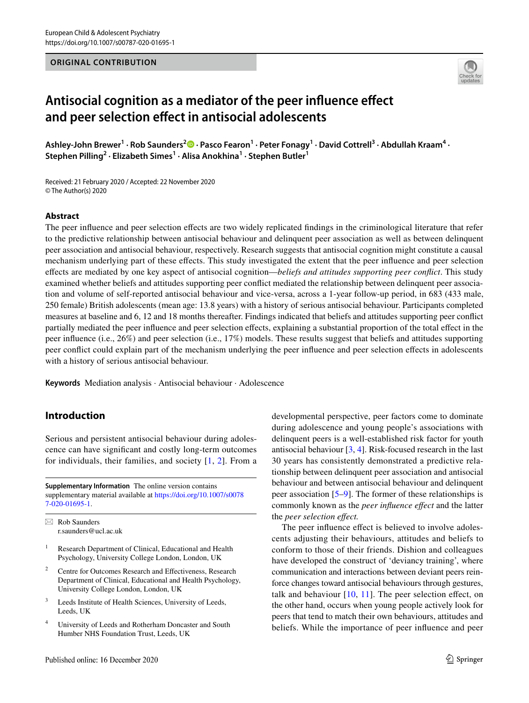## **ORIGINAL CONTRIBUTION**



# **Antisocial cognition as a mediator of the peer infuence efect and peer selection efect in antisocial adolescents**

Ashley-John Brewer<sup>1</sup> [·](http://orcid.org/0000-0002-7077-8729) Rob Saunders<sup>2</sup> <sup>0</sup> · Pasco Fearon<sup>1</sup> · Peter Fonagy<sup>1</sup> · David Cottrell<sup>3</sup> · Abdullah Kraam<sup>4</sup> · **Stephen Pilling<sup>2</sup> · Elizabeth Simes1 · Alisa Anokhina1 · Stephen Butler1**

Received: 21 February 2020 / Accepted: 22 November 2020 © The Author(s) 2020

#### **Abstract**

The peer infuence and peer selection efects are two widely replicated fndings in the criminological literature that refer to the predictive relationship between antisocial behaviour and delinquent peer association as well as between delinquent peer association and antisocial behaviour, respectively. Research suggests that antisocial cognition might constitute a causal mechanism underlying part of these efects. This study investigated the extent that the peer infuence and peer selection efects are mediated by one key aspect of antisocial cognition—*beliefs and attitudes supporting peer confict*. This study examined whether beliefs and attitudes supporting peer confict mediated the relationship between delinquent peer association and volume of self-reported antisocial behaviour and vice-versa, across a 1-year follow-up period, in 683 (433 male, 250 female) British adolescents (mean age: 13.8 years) with a history of serious antisocial behaviour. Participants completed measures at baseline and 6, 12 and 18 months thereafter. Findings indicated that beliefs and attitudes supporting peer confict partially mediated the peer infuence and peer selection efects, explaining a substantial proportion of the total efect in the peer infuence (i.e., 26%) and peer selection (i.e., 17%) models. These results suggest that beliefs and attitudes supporting peer confict could explain part of the mechanism underlying the peer infuence and peer selection efects in adolescents with a history of serious antisocial behaviour.

**Keywords** Mediation analysis · Antisocial behaviour · Adolescence

# **Introduction**

Serious and persistent antisocial behaviour during adolescence can have signifcant and costly long-term outcomes for individuals, their families, and society  $[1, 2]$  $[1, 2]$  $[1, 2]$  $[1, 2]$ . From a

**Supplementary Information** The online version contains supplementary material available at [https://doi.org/10.1007/s0078](https://doi.org/10.1007/s00787-020-01695-1) [7-020-01695-1](https://doi.org/10.1007/s00787-020-01695-1).

 $\boxtimes$  Rob Saunders r.saunders@ucl.ac.uk

- <sup>1</sup> Research Department of Clinical, Educational and Health Psychology, University College London, London, UK
- <sup>2</sup> Centre for Outcomes Research and Effectiveness, Research Department of Clinical, Educational and Health Psychology, University College London, London, UK
- <sup>3</sup> Leeds Institute of Health Sciences, University of Leeds, Leeds, UK
- <sup>4</sup> University of Leeds and Rotherham Doncaster and South Humber NHS Foundation Trust, Leeds, UK

developmental perspective, peer factors come to dominate during adolescence and young people's associations with delinquent peers is a well-established risk factor for youth antisocial behaviour [[3,](#page-9-1) [4](#page-9-2)]. Risk-focused research in the last 30 years has consistently demonstrated a predictive relationship between delinquent peer association and antisocial behaviour and between antisocial behaviour and delinquent peer association [[5](#page-9-3)[–9](#page-9-4)]. The former of these relationships is commonly known as the *peer infuence efect* and the latter the *peer selection efect.*

The peer influence effect is believed to involve adolescents adjusting their behaviours, attitudes and beliefs to conform to those of their friends. Dishion and colleagues have developed the construct of 'deviancy training', where communication and interactions between deviant peers reinforce changes toward antisocial behaviours through gestures, talk and behaviour  $[10, 11]$  $[10, 11]$  $[10, 11]$ . The peer selection effect, on the other hand, occurs when young people actively look for peers that tend to match their own behaviours, attitudes and beliefs. While the importance of peer infuence and peer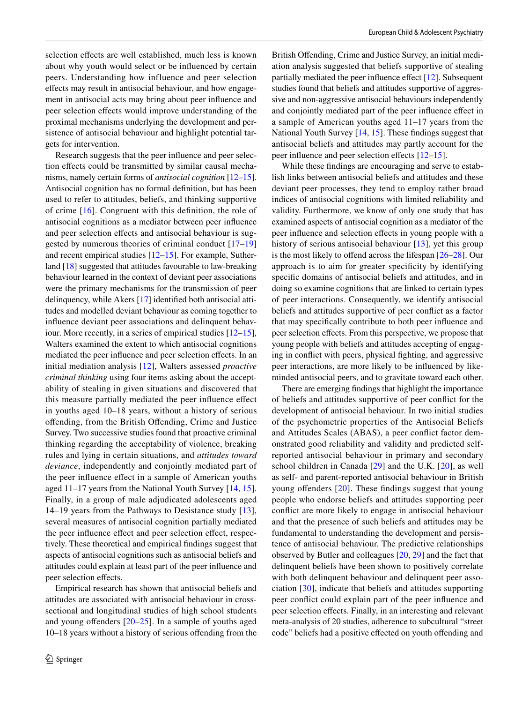selection effects are well established, much less is known about why youth would select or be infuenced by certain peers. Understanding how influence and peer selection efects may result in antisocial behaviour, and how engagement in antisocial acts may bring about peer infuence and peer selection effects would improve understanding of the proximal mechanisms underlying the development and persistence of antisocial behaviour and highlight potential targets for intervention.

Research suggests that the peer infuence and peer selection effects could be transmitted by similar causal mechanisms, namely certain forms of *antisocial cognition* [[12](#page-9-7)[–15](#page-9-8)]. Antisocial cognition has no formal defnition, but has been used to refer to attitudes, beliefs, and thinking supportive of crime [[16\]](#page-9-9). Congruent with this defnition, the role of antisocial cognitions as a mediator between peer infuence and peer selection effects and antisocial behaviour is suggested by numerous theories of criminal conduct [\[17](#page-9-10)–[19\]](#page-9-11) and recent empirical studies [\[12](#page-9-7)[–15\]](#page-9-8). For example, Sutherland [[18\]](#page-9-12) suggested that attitudes favourable to law-breaking behaviour learned in the context of deviant peer associations were the primary mechanisms for the transmission of peer delinquency, while Akers [\[17](#page-9-10)] identifed both antisocial attitudes and modelled deviant behaviour as coming together to infuence deviant peer associations and delinquent behaviour. More recently, in a series of empirical studies [\[12](#page-9-7)[–15](#page-9-8)], Walters examined the extent to which antisocial cognitions mediated the peer influence and peer selection effects. In an initial mediation analysis [\[12\]](#page-9-7), Walters assessed *proactive criminal thinking* using four items asking about the acceptability of stealing in given situations and discovered that this measure partially mediated the peer infuence efect in youths aged 10–18 years, without a history of serious ofending, from the British Ofending, Crime and Justice Survey. Two successive studies found that proactive criminal thinking regarding the acceptability of violence, breaking rules and lying in certain situations, and *attitudes toward deviance*, independently and conjointly mediated part of the peer infuence efect in a sample of American youths aged 11–17 years from the National Youth Survey [\[14](#page-9-13), [15](#page-9-8)]. Finally, in a group of male adjudicated adolescents aged 14–19 years from the Pathways to Desistance study [[13](#page-9-14)], several measures of antisocial cognition partially mediated the peer influence effect and peer selection effect, respectively. These theoretical and empirical fndings suggest that aspects of antisocial cognitions such as antisocial beliefs and attitudes could explain at least part of the peer infuence and peer selection efects.

Empirical research has shown that antisocial beliefs and attitudes are associated with antisocial behaviour in crosssectional and longitudinal studies of high school students and young ofenders [[20](#page-9-15)[–25\]](#page-9-16). In a sample of youths aged 10–18 years without a history of serious ofending from the British Offending, Crime and Justice Survey, an initial mediation analysis suggested that beliefs supportive of stealing partially mediated the peer influence effect [\[12](#page-9-7)]. Subsequent studies found that beliefs and attitudes supportive of aggressive and non-aggressive antisocial behaviours independently and conjointly mediated part of the peer infuence efect in a sample of American youths aged 11–17 years from the National Youth Survey [\[14](#page-9-13), [15](#page-9-8)]. These fndings suggest that antisocial beliefs and attitudes may partly account for the peer influence and peer selection effects [[12–](#page-9-7)[15](#page-9-8)].

While these fndings are encouraging and serve to establish links between antisocial beliefs and attitudes and these deviant peer processes, they tend to employ rather broad indices of antisocial cognitions with limited reliability and validity. Furthermore, we know of only one study that has examined aspects of antisocial cognition as a mediator of the peer infuence and selection efects in young people with a history of serious antisocial behaviour [[13](#page-9-14)], yet this group is the most likely to offend across the lifespan  $[26–28]$  $[26–28]$  $[26–28]$ . Our approach is to aim for greater specifcity by identifying specifc domains of antisocial beliefs and attitudes, and in doing so examine cognitions that are linked to certain types of peer interactions. Consequently, we identify antisocial beliefs and attitudes supportive of peer confict as a factor that may specifcally contribute to both peer infuence and peer selection effects. From this perspective, we propose that young people with beliefs and attitudes accepting of engaging in confict with peers, physical fghting, and aggressive peer interactions, are more likely to be infuenced by likeminded antisocial peers, and to gravitate toward each other.

There are emerging fndings that highlight the importance of beliefs and attitudes supportive of peer confict for the development of antisocial behaviour. In two initial studies of the psychometric properties of the Antisocial Beliefs and Attitudes Scales (ABAS), a peer confict factor demonstrated good reliability and validity and predicted selfreported antisocial behaviour in primary and secondary school children in Canada [\[29\]](#page-9-19) and the U.K. [\[20](#page-9-15)], as well as self- and parent-reported antisocial behaviour in British young offenders [[20\]](#page-9-15). These findings suggest that young people who endorse beliefs and attitudes supporting peer confict are more likely to engage in antisocial behaviour and that the presence of such beliefs and attitudes may be fundamental to understanding the development and persistence of antisocial behaviour. The predictive relationships observed by Butler and colleagues [[20,](#page-9-15) [29\]](#page-9-19) and the fact that delinquent beliefs have been shown to positively correlate with both delinquent behaviour and delinquent peer association [[30\]](#page-9-20), indicate that beliefs and attitudes supporting peer confict could explain part of the peer infuence and peer selection effects. Finally, in an interesting and relevant meta-analysis of 20 studies, adherence to subcultural "street code" beliefs had a positive effected on youth offending and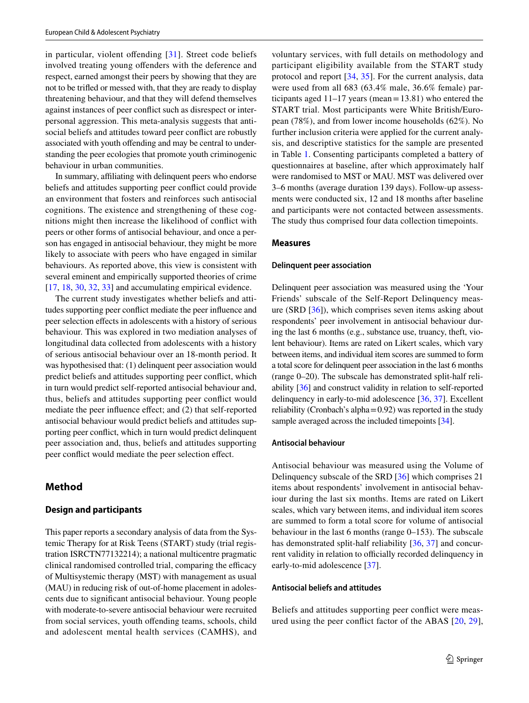in particular, violent offending  $[31]$  $[31]$  $[31]$ . Street code beliefs involved treating young ofenders with the deference and respect, earned amongst their peers by showing that they are not to be trifed or messed with, that they are ready to display threatening behaviour, and that they will defend themselves against instances of peer confict such as disrespect or interpersonal aggression. This meta-analysis suggests that antisocial beliefs and attitudes toward peer confict are robustly associated with youth offending and may be central to understanding the peer ecologies that promote youth criminogenic behaviour in urban communities.

In summary, affiliating with delinquent peers who endorse beliefs and attitudes supporting peer confict could provide an environment that fosters and reinforces such antisocial cognitions. The existence and strengthening of these cognitions might then increase the likelihood of confict with peers or other forms of antisocial behaviour, and once a person has engaged in antisocial behaviour, they might be more likely to associate with peers who have engaged in similar behaviours. As reported above, this view is consistent with several eminent and empirically supported theories of crime [\[17,](#page-9-10) [18,](#page-9-12) [30,](#page-9-20) [32,](#page-9-22) [33\]](#page-9-23) and accumulating empirical evidence.

The current study investigates whether beliefs and attitudes supporting peer confict mediate the peer infuence and peer selection efects in adolescents with a history of serious behaviour. This was explored in two mediation analyses of longitudinal data collected from adolescents with a history of serious antisocial behaviour over an 18-month period. It was hypothesised that: (1) delinquent peer association would predict beliefs and attitudes supporting peer confict, which in turn would predict self-reported antisocial behaviour and, thus, beliefs and attitudes supporting peer confict would mediate the peer infuence efect; and (2) that self-reported antisocial behaviour would predict beliefs and attitudes supporting peer confict, which in turn would predict delinquent peer association and, thus, beliefs and attitudes supporting peer conflict would mediate the peer selection effect.

## **Method**

#### **Design and participants**

This paper reports a secondary analysis of data from the Systemic Therapy for at Risk Teens (START) study (trial registration ISRCTN77132214); a national multicentre pragmatic clinical randomised controlled trial, comparing the efficacy of Multisystemic therapy (MST) with management as usual (MAU) in reducing risk of out-of-home placement in adolescents due to signifcant antisocial behaviour. Young people with moderate-to-severe antisocial behaviour were recruited from social services, youth offending teams, schools, child and adolescent mental health services (CAMHS), and

voluntary services, with full details on methodology and participant eligibility available from the START study protocol and report [[34](#page-9-24), [35\]](#page-9-25). For the current analysis, data were used from all 683 (63.4% male, 36.6% female) participants aged  $11-17$  years (mean = 13.81) who entered the START trial. Most participants were White British/European (78%), and from lower income households (62%). No further inclusion criteria were applied for the current analysis, and descriptive statistics for the sample are presented in Table [1](#page-3-0). Consenting participants completed a battery of questionnaires at baseline, after which approximately half were randomised to MST or MAU. MST was delivered over 3–6 months (average duration 139 days). Follow-up assessments were conducted six, 12 and 18 months after baseline and participants were not contacted between assessments. The study thus comprised four data collection timepoints.

#### **Measures**

#### **Delinquent peer association**

Delinquent peer association was measured using the 'Your Friends' subscale of the Self-Report Delinquency measure (SRD [[36\]](#page-9-26)), which comprises seven items asking about respondents' peer involvement in antisocial behaviour during the last 6 months (e.g., substance use, truancy, theft, violent behaviour). Items are rated on Likert scales, which vary between items, and individual item scores are summed to form a total score for delinquent peer association in the last 6 months (range 0–20). The subscale has demonstrated split-half reliability [\[36\]](#page-9-26) and construct validity in relation to self-reported delinquency in early-to-mid adolescence [\[36](#page-9-26), [37\]](#page-9-27). Excellent reliability (Cronbach's alpha=0.92) was reported in the study sample averaged across the included timepoints [\[34](#page-9-24)].

#### **Antisocial behaviour**

Antisocial behaviour was measured using the Volume of Delinquency subscale of the SRD [[36\]](#page-9-26) which comprises 21 items about respondents' involvement in antisocial behaviour during the last six months. Items are rated on Likert scales, which vary between items, and individual item scores are summed to form a total score for volume of antisocial behaviour in the last 6 months (range 0–153). The subscale has demonstrated split-half reliability [[36,](#page-9-26) [37](#page-9-27)] and concurrent validity in relation to officially recorded delinquency in early-to-mid adolescence [\[37](#page-9-27)].

#### **Antisocial beliefs and attitudes**

Beliefs and attitudes supporting peer confict were measured using the peer confict factor of the ABAS [[20](#page-9-15), [29](#page-9-19)],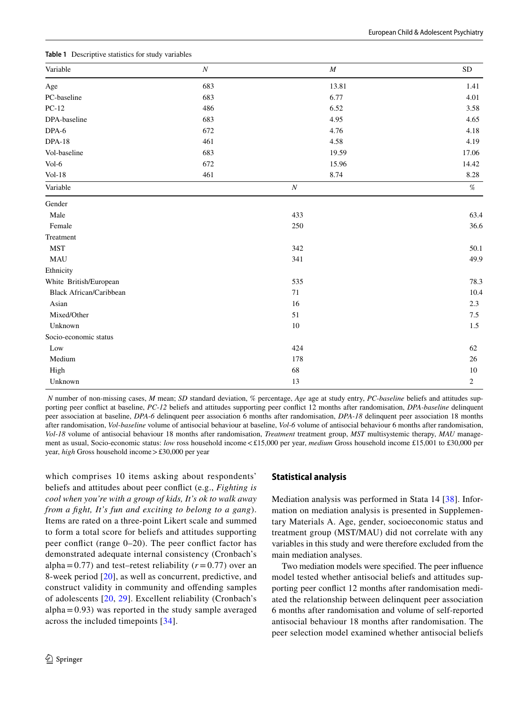| Variable                       | $\cal N$ | $\cal M$         | ${\rm SD}$ |
|--------------------------------|----------|------------------|------------|
| Age                            | 683      | 13.81            | 1.41       |
| PC-baseline                    | 683      | 6.77             | 4.01       |
| $PC-12$                        | 486      | 6.52             | 3.58       |
| DPA-baseline                   | 683      | 4.95             | 4.65       |
| DPA-6                          | 672      | 4.76             | 4.18       |
| <b>DPA-18</b>                  | 461      | 4.58             | 4.19       |
| Vol-baseline                   | 683      | 19.59            | 17.06      |
| Vol-6                          | 672      | 15.96            | 14.42      |
| $Vol-18$                       | 461      | 8.74             | 8.28       |
| Variable                       |          | $\boldsymbol{N}$ | $\%$       |
| Gender                         |          |                  |            |
| Male                           |          | 433              | 63.4       |
| Female                         |          | 250              | 36.6       |
| Treatment                      |          |                  |            |
| <b>MST</b>                     |          | 342              | 50.1       |
| MAU                            |          | 341              | 49.9       |
| Ethnicity                      |          |                  |            |
| White British/European         |          | 535              | 78.3       |
| <b>Black African/Caribbean</b> |          | 71               | 10.4       |
| Asian                          |          | 16               | 2.3        |
| Mixed/Other                    |          | 51               | 7.5        |
| Unknown                        |          | 10               | 1.5        |
| Socio-economic status          |          |                  |            |
| Low                            |          | 424              | 62         |
| Medium                         |          | 178              | 26         |
| High                           |          | 68               | 10         |
| Unknown                        |          | 13               | 2          |

<span id="page-3-0"></span>**Table 1** Descriptive statistics for study variables

 *N* number of non-missing cases, *M* mean; *SD* standard deviation, % percentage, *Age* age at study entry, *PC-baseline* beliefs and attitudes supporting peer confict at baseline, *PC-12* beliefs and attitudes supporting peer confict 12 months after randomisation, *DPA-baseline* delinquent peer association at baseline, *DPA-6* delinquent peer association 6 months after randomisation, *DPA-18* delinquent peer association 18 months after randomisation, *Vol-baseline* volume of antisocial behaviour at baseline, *Vol-6* volume of antisocial behaviour 6 months after randomisation, *Vol-18* volume of antisocial behaviour 18 months after randomisation, *Treatment* treatment group, *MST* multisystemic therapy, *MAU* management as usual, Socio-economic status: *low* ross household income<£15,000 per year, *medium* Gross household income £15,001 to £30,000 per year, *high* Gross household income>£30,000 per year

which comprises 10 items asking about respondents' beliefs and attitudes about peer confict (e.g., *Fighting is cool when you're with a group of kids, It's ok to walk away from a fght, It's fun and exciting to belong to a gang*). Items are rated on a three-point Likert scale and summed to form a total score for beliefs and attitudes supporting peer confict (range 0–20). The peer confict factor has demonstrated adequate internal consistency (Cronbach's alpha=0.77) and test–retest reliability  $(r=0.77)$  over an 8-week period [\[20\]](#page-9-15), as well as concurrent, predictive, and construct validity in community and ofending samples of adolescents [\[20,](#page-9-15) [29\]](#page-9-19). Excellent reliability (Cronbach's  $alpha = 0.93$ ) was reported in the study sample averaged across the included timepoints [[34](#page-9-24)].

#### **Statistical analysis**

Mediation analysis was performed in Stata 14 [[38\]](#page-10-0). Information on mediation analysis is presented in Supplementary Materials A. Age, gender, socioeconomic status and treatment group (MST/MAU) did not correlate with any variables in this study and were therefore excluded from the main mediation analyses.

Two mediation models were specifed. The peer infuence model tested whether antisocial beliefs and attitudes supporting peer confict 12 months after randomisation mediated the relationship between delinquent peer association 6 months after randomisation and volume of self-reported antisocial behaviour 18 months after randomisation. The peer selection model examined whether antisocial beliefs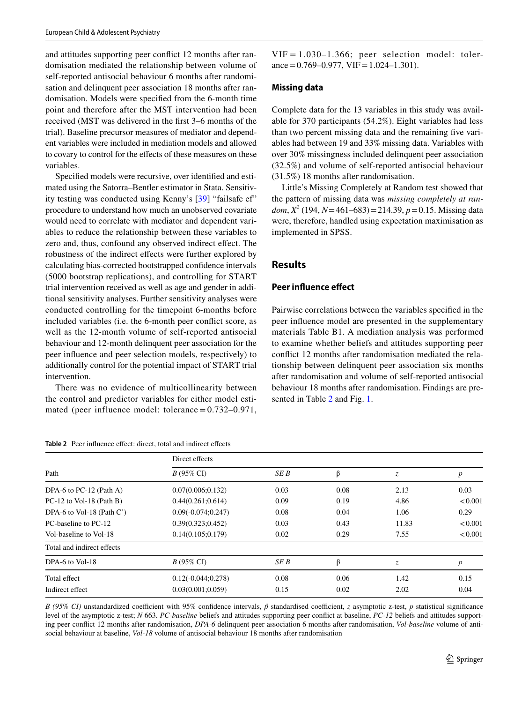and attitudes supporting peer confict 12 months after randomisation mediated the relationship between volume of self-reported antisocial behaviour 6 months after randomisation and delinquent peer association 18 months after randomisation. Models were specifed from the 6-month time point and therefore after the MST intervention had been received (MST was delivered in the frst 3–6 months of the trial). Baseline precursor measures of mediator and dependent variables were included in mediation models and allowed to covary to control for the effects of these measures on these variables.

Specifed models were recursive, over identifed and estimated using the Satorra–Bentler estimator in Stata. Sensitivity testing was conducted using Kenny's [\[39](#page-10-1)] "failsafe ef" procedure to understand how much an unobserved covariate would need to correlate with mediator and dependent variables to reduce the relationship between these variables to zero and, thus, confound any observed indirect efect. The robustness of the indirect efects were further explored by calculating bias-corrected bootstrapped confdence intervals (5000 bootstrap replications), and controlling for START trial intervention received as well as age and gender in additional sensitivity analyses. Further sensitivity analyses were conducted controlling for the timepoint 6-months before included variables (i.e. the 6-month peer confict score, as well as the 12-month volume of self-reported antisocial behaviour and 12-month delinquent peer association for the peer infuence and peer selection models, respectively) to additionally control for the potential impact of START trial intervention.

There was no evidence of multicollinearity between the control and predictor variables for either model estimated (peer influence model: tolerance  $= 0.732 - 0.971$ ,

<span id="page-4-0"></span>**Table 2** Peer influence effect: direct, total and indirect effects

 $VIF = 1.030-1.366$ ; peer selection model: tolerance =  $0.769 - 0.977$ , VIF =  $1.024 - 1.301$ ).

#### **Missing data**

Complete data for the 13 variables in this study was available for 370 participants (54.2%). Eight variables had less than two percent missing data and the remaining fve variables had between 19 and 33% missing data. Variables with over 30% missingness included delinquent peer association (32.5%) and volume of self-reported antisocial behaviour (31.5%) 18 months after randomisation.

Little's Missing Completely at Random test showed that the pattern of missing data was *missing completely at random*, *X2* (194, *N*=461–683)=214.39, *p*=0.15. Missing data were, therefore, handled using expectation maximisation as implemented in SPSS.

#### **Results**

#### **Peer infuence efect**

Pairwise correlations between the variables specifed in the peer infuence model are presented in the supplementary materials Table B1. A mediation analysis was performed to examine whether beliefs and attitudes supporting peer confict 12 months after randomisation mediated the relationship between delinquent peer association six months after randomisation and volume of self-reported antisocial behaviour 18 months after randomisation. Findings are presented in Table [2](#page-4-0) and Fig. [1.](#page-5-0)

| Path                       | Direct effects        |      |      |       |                  |  |
|----------------------------|-----------------------|------|------|-------|------------------|--|
|                            | $B(95\% \text{ CI})$  | SE B | β    | z     | $\boldsymbol{p}$ |  |
| DPA-6 to PC-12 (Path A)    | 0.07(0.006; 0.132)    | 0.03 | 0.08 | 2.13  | 0.03             |  |
| PC-12 to Vol-18 (Path B)   | 0.44(0.261; 0.614)    | 0.09 | 0.19 | 4.86  | < 0.001          |  |
| DPA-6 to Vol-18 (Path C')  | $0.09(-0.074; 0.247)$ | 0.08 | 0.04 | 1.06  | 0.29             |  |
| PC-baseline to PC-12       | 0.39(0.323; 0.452)    | 0.03 | 0.43 | 11.83 | < 0.001          |  |
| Vol-baseline to Vol-18     | 0.14(0.105; 0.179)    | 0.02 | 0.29 | 7.55  | < 0.001          |  |
| Total and indirect effects |                       |      |      |       |                  |  |
| DPA-6 to Vol-18            | $B(95\% \text{ CI})$  | SE B | β    | Z.    | p                |  |
| Total effect               | $0.12(-0.044;0.278)$  | 0.08 | 0.06 | 1.42  | 0.15             |  |
| Indirect effect            | 0.03(0.001; 0.059)    | 0.15 | 0.02 | 2.02  | 0.04             |  |

*B* (95% CI) unstandardized coefficient with 95% confidence intervals, *β* standardised coefficient, *z* asymptotic z-test, *p* statistical significance level of the asymptotic z-test; *N* 663. *PC-baseline* beliefs and attitudes supporting peer confict at baseline, *PC-12* beliefs and attitudes supporting peer confict 12 months after randomisation, *DPA-6* delinquent peer association 6 months after randomisation, *Vol-baseline* volume of antisocial behaviour at baseline, *Vol-18* volume of antisocial behaviour 18 months after randomisation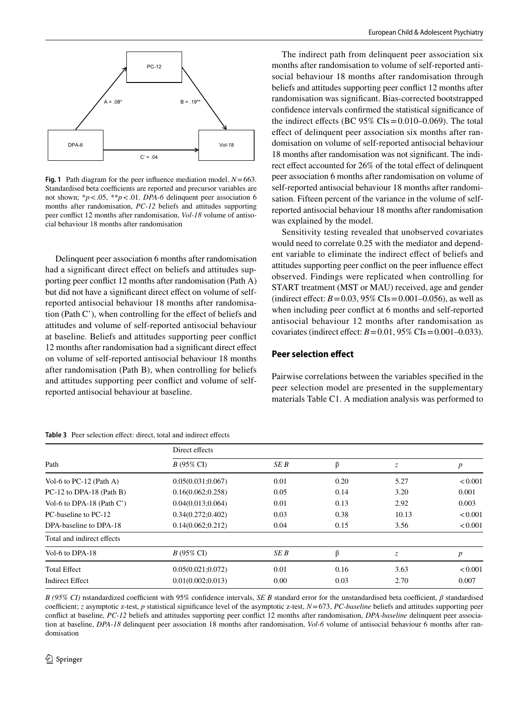

<span id="page-5-0"></span>**Fig. 1** Path diagram for the peer infuence mediation model. *N*=663. Standardised beta coefficients are reported and precursor variables are not shown; \**p*<.05, \*\**p*<.01. *DPA-6* delinquent peer association 6 months after randomisation, *PC-12* beliefs and attitudes supporting peer confict 12 months after randomisation, *Vol-18* volume of antisocial behaviour 18 months after randomisation

Delinquent peer association 6 months after randomisation had a significant direct effect on beliefs and attitudes supporting peer confict 12 months after randomisation (Path A) but did not have a signifcant direct efect on volume of selfreported antisocial behaviour 18 months after randomisation (Path C'), when controlling for the efect of beliefs and attitudes and volume of self-reported antisocial behaviour at baseline. Beliefs and attitudes supporting peer confict 12 months after randomisation had a signifcant direct efect on volume of self-reported antisocial behaviour 18 months after randomisation (Path B), when controlling for beliefs and attitudes supporting peer confict and volume of selfreported antisocial behaviour at baseline.

<span id="page-5-1"></span>**Table 3** Peer selection efect: direct, total and indirect efects

The indirect path from delinquent peer association six months after randomisation to volume of self-reported antisocial behaviour 18 months after randomisation through beliefs and attitudes supporting peer confict 12 months after randomisation was signifcant. Bias-corrected bootstrapped confdence intervals confrmed the statistical signifcance of the indirect effects (BC  $95\%$  CIs = 0.010–0.069). The total efect of delinquent peer association six months after randomisation on volume of self-reported antisocial behaviour 18 months after randomisation was not signifcant. The indirect effect accounted for 26% of the total effect of delinquent peer association 6 months after randomisation on volume of self-reported antisocial behaviour 18 months after randomisation. Fifteen percent of the variance in the volume of selfreported antisocial behaviour 18 months after randomisation was explained by the model.

Sensitivity testing revealed that unobserved covariates would need to correlate 0.25 with the mediator and dependent variable to eliminate the indirect efect of beliefs and attitudes supporting peer confict on the peer infuence efect observed. Findings were replicated when controlling for START treatment (MST or MAU) received, age and gender (indirect effect:  $B = 0.03$ , 95% CIs = 0.001–0.056), as well as when including peer confict at 6 months and self-reported antisocial behaviour 12 months after randomisation as covariates (indirect effect:  $B = 0.01$ , 95% CIs $= 0.001 - 0.033$ ).

## **Peer selection efect**

Pairwise correlations between the variables specifed in the peer selection model are presented in the supplementary materials Table C1. A mediation analysis was performed to

| Path                         | Direct effects       |      |      |       |                  |  |
|------------------------------|----------------------|------|------|-------|------------------|--|
|                              | $B(95\% \text{ CI})$ | SE B | β    | Z.    | $\boldsymbol{p}$ |  |
| Vol-6 to PC-12 (Path A)      | 0.05(0.031;0.067)    | 0.01 | 0.20 | 5.27  | < 0.001          |  |
| PC-12 to DPA-18 (Path B)     | 0.16(0.062; 0.258)   | 0.05 | 0.14 | 3.20  | 0.001            |  |
| Vol-6 to DPA-18 (Path $C'$ ) | 0.04(0.013; 0.064)   | 0.01 | 0.13 | 2.92  | 0.003            |  |
| PC-baseline to PC-12         | 0.34(0.272; 0.402)   | 0.03 | 0.38 | 10.13 | < 0.001          |  |
| DPA-baseline to DPA-18       | 0.14(0.062; 0.212)   | 0.04 | 0.15 | 3.56  | < 0.001          |  |
| Total and indirect effects   |                      |      |      |       |                  |  |
| Vol-6 to DPA-18              | $B(95\% \text{ CI})$ | SE B | β    | Z.    | p                |  |
| <b>Total Effect</b>          | 0.05(0.021; 0.072)   | 0.01 | 0.16 | 3.63  | < 0.001          |  |
| Indirect Effect              | 0.01(0.002; 0.013)   | 0.00 | 0.03 | 2.70  | 0.007            |  |

*B* (95% CI) nstandardized coefficient with 95% confidence intervals, *SE B* standard error for the unstandardised beta coefficient, *β* standardised coefficient; *z* asymptotic z-test, *p* statistical significance level of the asymptotic z-test, *N*=673, *PC-baseline* beliefs and attitudes supporting peer confict at baseline, *PC-12* beliefs and attitudes supporting peer confict 12 months after randomisation, *DPA-baseline* delinquent peer association at baseline, *DPA-18* delinquent peer association 18 months after randomisation, *Vol-6* volume of antisocial behaviour 6 months after randomisation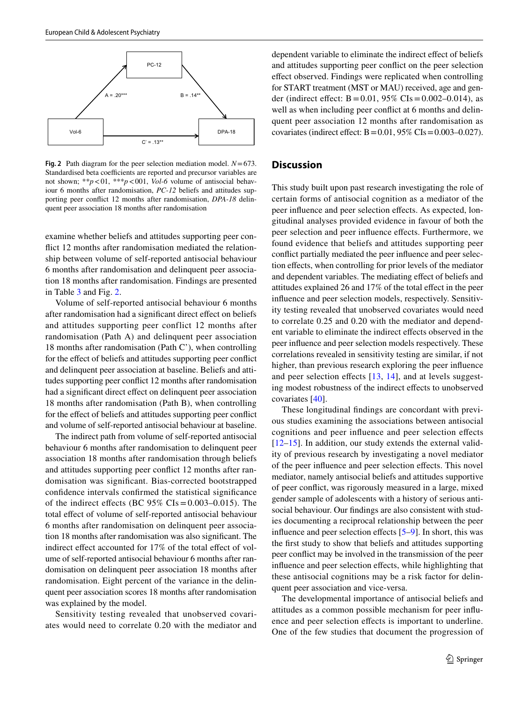

<span id="page-6-0"></span>**Fig. 2** Path diagram for the peer selection mediation model. *N*=673. Standardised beta coefficients are reported and precursor variables are not shown; \*\**p*<01, \*\*\**p*<001, *Vol-6* volume of antisocial behaviour 6 months after randomisation, *PC-12* beliefs and attitudes supporting peer confict 12 months after randomisation, *DPA-18* delinquent peer association 18 months after randomisation

examine whether beliefs and attitudes supporting peer confict 12 months after randomisation mediated the relationship between volume of self-reported antisocial behaviour 6 months after randomisation and delinquent peer association 18 months after randomisation. Findings are presented in Table [3](#page-5-1) and Fig. [2](#page-6-0).

Volume of self-reported antisocial behaviour 6 months after randomisation had a signifcant direct efect on beliefs and attitudes supporting peer conflict 12 months after randomisation (Path A) and delinquent peer association 18 months after randomisation (Path C'), when controlling for the efect of beliefs and attitudes supporting peer confict and delinquent peer association at baseline. Beliefs and attitudes supporting peer confict 12 months after randomisation had a significant direct effect on delinquent peer association 18 months after randomisation (Path B), when controlling for the efect of beliefs and attitudes supporting peer confict and volume of self-reported antisocial behaviour at baseline.

The indirect path from volume of self-reported antisocial behaviour 6 months after randomisation to delinquent peer association 18 months after randomisation through beliefs and attitudes supporting peer confict 12 months after randomisation was signifcant. Bias-corrected bootstrapped confdence intervals confrmed the statistical signifcance of the indirect effects (BC  $95\%$  CIs = 0.003–0.015). The total effect of volume of self-reported antisocial behaviour 6 months after randomisation on delinquent peer association 18 months after randomisation was also signifcant. The indirect effect accounted for 17% of the total effect of volume of self-reported antisocial behaviour 6 months after randomisation on delinquent peer association 18 months after randomisation. Eight percent of the variance in the delinquent peer association scores 18 months after randomisation was explained by the model.

Sensitivity testing revealed that unobserved covariates would need to correlate 0.20 with the mediator and

dependent variable to eliminate the indirect effect of beliefs and attitudes supporting peer confict on the peer selection efect observed. Findings were replicated when controlling for START treatment (MST or MAU) received, age and gender (indirect effect:  $B = 0.01$ , 95% CIs $= 0.002 - 0.014$ ), as well as when including peer conflict at 6 months and delinquent peer association 12 months after randomisation as covariates (indirect effect:  $B = 0.01$ , 95% CIs $= 0.003 - 0.027$ ).

## **Discussion**

This study built upon past research investigating the role of certain forms of antisocial cognition as a mediator of the peer infuence and peer selection efects. As expected, longitudinal analyses provided evidence in favour of both the peer selection and peer infuence efects. Furthermore, we found evidence that beliefs and attitudes supporting peer confict partially mediated the peer infuence and peer selection efects, when controlling for prior levels of the mediator and dependent variables. The mediating efect of beliefs and attitudes explained 26 and 17% of the total efect in the peer infuence and peer selection models, respectively. Sensitivity testing revealed that unobserved covariates would need to correlate 0.25 and 0.20 with the mediator and dependent variable to eliminate the indirect efects observed in the peer infuence and peer selection models respectively. These correlations revealed in sensitivity testing are similar, if not higher, than previous research exploring the peer infuence and peer selection effects  $[13, 14]$  $[13, 14]$  $[13, 14]$  $[13, 14]$  $[13, 14]$ , and at levels suggesting modest robustness of the indirect efects to unobserved covariates [[40\]](#page-10-2).

These longitudinal fndings are concordant with previous studies examining the associations between antisocial cognitions and peer infuence and peer selection efects  $[12–15]$  $[12–15]$  $[12–15]$  $[12–15]$ . In addition, our study extends the external validity of previous research by investigating a novel mediator of the peer infuence and peer selection efects. This novel mediator, namely antisocial beliefs and attitudes supportive of peer confict, was rigorously measured in a large, mixed gender sample of adolescents with a history of serious antisocial behaviour. Our fndings are also consistent with studies documenting a reciprocal relationship between the peer influence and peer selection effects  $[5-9]$  $[5-9]$  $[5-9]$ . In short, this was the frst study to show that beliefs and attitudes supporting peer confict may be involved in the transmission of the peer influence and peer selection effects, while highlighting that these antisocial cognitions may be a risk factor for delinquent peer association and vice-versa.

The developmental importance of antisocial beliefs and attitudes as a common possible mechanism for peer infuence and peer selection efects is important to underline. One of the few studies that document the progression of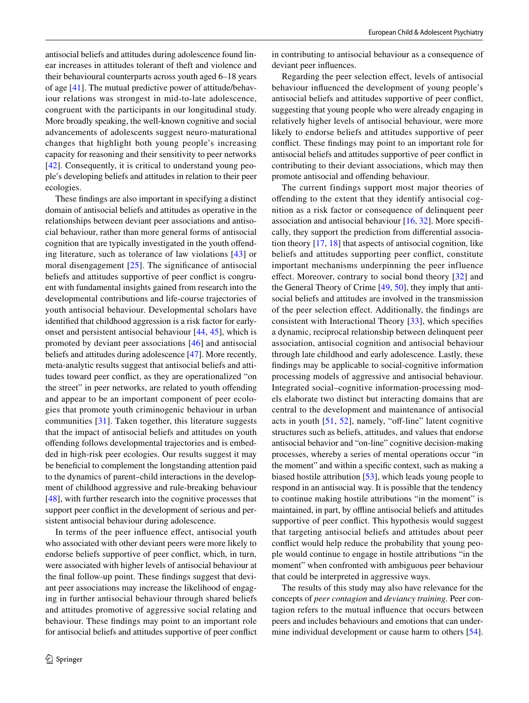antisocial beliefs and attitudes during adolescence found linear increases in attitudes tolerant of theft and violence and their behavioural counterparts across youth aged 6–18 years of age [\[41\]](#page-10-3). The mutual predictive power of attitude/behaviour relations was strongest in mid-to-late adolescence, congruent with the participants in our longitudinal study. More broadly speaking, the well-known cognitive and social advancements of adolescents suggest neuro-maturational changes that highlight both young people's increasing capacity for reasoning and their sensitivity to peer networks [\[42\]](#page-10-4). Consequently, it is critical to understand young people's developing beliefs and attitudes in relation to their peer ecologies.

These fndings are also important in specifying a distinct domain of antisocial beliefs and attitudes as operative in the relationships between deviant peer associations and antisocial behaviour, rather than more general forms of antisocial cognition that are typically investigated in the youth offending literature, such as tolerance of law violations [[43\]](#page-10-5) or moral disengagement [\[25\]](#page-9-16). The significance of antisocial beliefs and attitudes supportive of peer confict is congruent with fundamental insights gained from research into the developmental contributions and life-course trajectories of youth antisocial behaviour. Developmental scholars have identifed that childhood aggression is a risk factor for earlyonset and persistent antisocial behaviour [\[44](#page-10-6), [45\]](#page-10-7), which is promoted by deviant peer associations [[46\]](#page-10-8) and antisocial beliefs and attitudes during adolescence [[47\]](#page-10-9). More recently, meta-analytic results suggest that antisocial beliefs and attitudes toward peer confict, as they are operationalized "on the street" in peer networks, are related to youth ofending and appear to be an important component of peer ecologies that promote youth criminogenic behaviour in urban communities [\[31\]](#page-9-21). Taken together, this literature suggests that the impact of antisocial beliefs and attitudes on youth ofending follows developmental trajectories and is embedded in high-risk peer ecologies. Our results suggest it may be beneficial to complement the longstanding attention paid to the dynamics of parent–child interactions in the development of childhood aggressive and rule-breaking behaviour [\[48\]](#page-10-10), with further research into the cognitive processes that support peer confict in the development of serious and persistent antisocial behaviour during adolescence.

In terms of the peer infuence efect, antisocial youth who associated with other deviant peers were more likely to endorse beliefs supportive of peer confict, which, in turn, were associated with higher levels of antisocial behaviour at the fnal follow-up point. These fndings suggest that deviant peer associations may increase the likelihood of engaging in further antisocial behaviour through shared beliefs and attitudes promotive of aggressive social relating and behaviour. These fndings may point to an important role for antisocial beliefs and attitudes supportive of peer confict in contributing to antisocial behaviour as a consequence of deviant peer infuences.

Regarding the peer selection efect, levels of antisocial behaviour infuenced the development of young people's antisocial beliefs and attitudes supportive of peer confict, suggesting that young people who were already engaging in relatively higher levels of antisocial behaviour, were more likely to endorse beliefs and attitudes supportive of peer confict. These fndings may point to an important role for antisocial beliefs and attitudes supportive of peer confict in contributing to their deviant associations, which may then promote antisocial and ofending behaviour.

The current findings support most major theories of ofending to the extent that they identify antisocial cognition as a risk factor or consequence of delinquent peer association and antisocial behaviour [\[16](#page-9-9), [32](#page-9-22)]. More specifcally, they support the prediction from diferential association theory [[17,](#page-9-10) [18\]](#page-9-12) that aspects of antisocial cognition, like beliefs and attitudes supporting peer confict, constitute important mechanisms underpinning the peer influence effect. Moreover, contrary to social bond theory [[32](#page-9-22)] and the General Theory of Crime [\[49](#page-10-11), [50](#page-10-12)], they imply that antisocial beliefs and attitudes are involved in the transmission of the peer selection efect. Additionally, the fndings are consistent with Interactional Theory [[33](#page-9-23)], which specifes a dynamic, reciprocal relationship between delinquent peer association, antisocial cognition and antisocial behaviour through late childhood and early adolescence. Lastly, these fndings may be applicable to social-cognitive information processing models of aggressive and antisocial behaviour. Integrated social–cognitive information-processing models elaborate two distinct but interacting domains that are central to the development and maintenance of antisocial acts in youth  $[51, 52]$  $[51, 52]$  $[51, 52]$ , namely, "off-line" latent cognitive structures such as beliefs, attitudes, and values that endorse antisocial behavior and "on-line" cognitive decision-making processes, whereby a series of mental operations occur "in the moment" and within a specifc context, such as making a biased hostile attribution [[53\]](#page-10-15), which leads young people to respond in an antisocial way. It is possible that the tendency to continue making hostile attributions "in the moment" is maintained, in part, by offline antisocial beliefs and attitudes supportive of peer confict. This hypothesis would suggest that targeting antisocial beliefs and attitudes about peer confict would help reduce the probability that young people would continue to engage in hostile attributions "in the moment" when confronted with ambiguous peer behaviour that could be interpreted in aggressive ways.

The results of this study may also have relevance for the concepts of *peer contagion* and *deviancy training*. Peer contagion refers to the mutual infuence that occurs between peers and includes behaviours and emotions that can under-mine individual development or cause harm to others [\[54](#page-10-16)].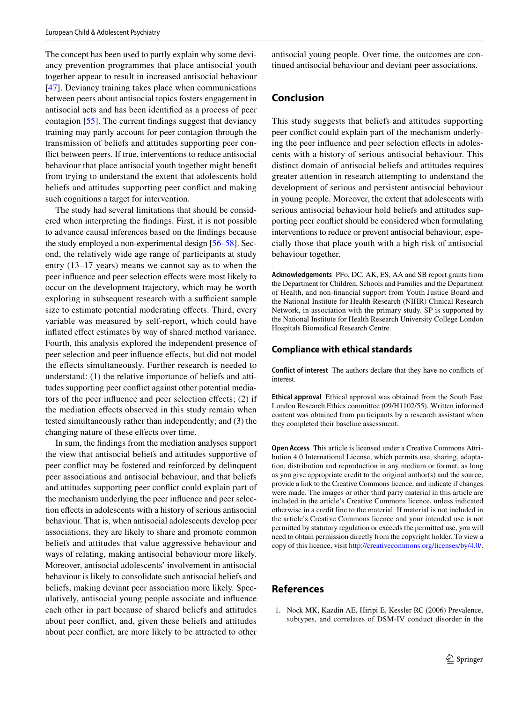The concept has been used to partly explain why some deviancy prevention programmes that place antisocial youth together appear to result in increased antisocial behaviour [\[47\]](#page-10-9). Deviancy training takes place when communications between peers about antisocial topics fosters engagement in antisocial acts and has been identifed as a process of peer contagion [\[55](#page-10-17)]. The current fndings suggest that deviancy training may partly account for peer contagion through the transmission of beliefs and attitudes supporting peer confict between peers. If true, interventions to reduce antisocial behaviour that place antisocial youth together might beneft from trying to understand the extent that adolescents hold beliefs and attitudes supporting peer confict and making such cognitions a target for intervention.

The study had several limitations that should be considered when interpreting the fndings. First, it is not possible to advance causal inferences based on the fndings because the study employed a non-experimental design [\[56–](#page-10-18)[58\]](#page-10-19). Second, the relatively wide age range of participants at study entry (13–17 years) means we cannot say as to when the peer infuence and peer selection efects were most likely to occur on the development trajectory, which may be worth exploring in subsequent research with a sufficient sample size to estimate potential moderating effects. Third, every variable was measured by self-report, which could have infated efect estimates by way of shared method variance. Fourth, this analysis explored the independent presence of peer selection and peer infuence efects, but did not model the effects simultaneously. Further research is needed to understand: (1) the relative importance of beliefs and attitudes supporting peer confict against other potential mediators of the peer infuence and peer selection efects; (2) if the mediation efects observed in this study remain when tested simultaneously rather than independently; and (3) the changing nature of these efects over time.

In sum, the fndings from the mediation analyses support the view that antisocial beliefs and attitudes supportive of peer confict may be fostered and reinforced by delinquent peer associations and antisocial behaviour, and that beliefs and attitudes supporting peer confict could explain part of the mechanism underlying the peer infuence and peer selection efects in adolescents with a history of serious antisocial behaviour. That is, when antisocial adolescents develop peer associations, they are likely to share and promote common beliefs and attitudes that value aggressive behaviour and ways of relating, making antisocial behaviour more likely. Moreover, antisocial adolescents' involvement in antisocial behaviour is likely to consolidate such antisocial beliefs and beliefs, making deviant peer association more likely. Speculatively, antisocial young people associate and infuence each other in part because of shared beliefs and attitudes about peer confict, and, given these beliefs and attitudes about peer confict, are more likely to be attracted to other

antisocial young people. Over time, the outcomes are continued antisocial behaviour and deviant peer associations.

## **Conclusion**

This study suggests that beliefs and attitudes supporting peer confict could explain part of the mechanism underlying the peer influence and peer selection effects in adolescents with a history of serious antisocial behaviour. This distinct domain of antisocial beliefs and attitudes requires greater attention in research attempting to understand the development of serious and persistent antisocial behaviour in young people. Moreover, the extent that adolescents with serious antisocial behaviour hold beliefs and attitudes supporting peer confict should be considered when formulating interventions to reduce or prevent antisocial behaviour, especially those that place youth with a high risk of antisocial behaviour together.

**Acknowledgements** PFo, DC, AK, ES, AA and SB report grants from the Department for Children, Schools and Families and the Department of Health, and non-fnancial support from Youth Justice Board and the National Institute for Health Research (NIHR) Clinical Research Network, in association with the primary study. SP is supported by the National Institute for Health Research University College London Hospitals Biomedical Research Centre.

#### **Compliance with ethical standards**

**Conflict of interest** The authors declare that they have no conficts of interest.

**Ethical approval** Ethical approval was obtained from the South East London Research Ethics committee (09/H1102/55). Written informed content was obtained from participants by a research assistant when they completed their baseline assessment.

**Open Access** This article is licensed under a Creative Commons Attribution 4.0 International License, which permits use, sharing, adaptation, distribution and reproduction in any medium or format, as long as you give appropriate credit to the original author(s) and the source, provide a link to the Creative Commons licence, and indicate if changes were made. The images or other third party material in this article are included in the article's Creative Commons licence, unless indicated otherwise in a credit line to the material. If material is not included in the article's Creative Commons licence and your intended use is not permitted by statutory regulation or exceeds the permitted use, you will need to obtain permission directly from the copyright holder. To view a copy of this licence, visit<http://creativecommons.org/licenses/by/4.0/>.

## **References**

<span id="page-8-0"></span>1. Nock MK, Kazdin AE, Hiripi E, Kessler RC (2006) Prevalence, subtypes, and correlates of DSM-IV conduct disorder in the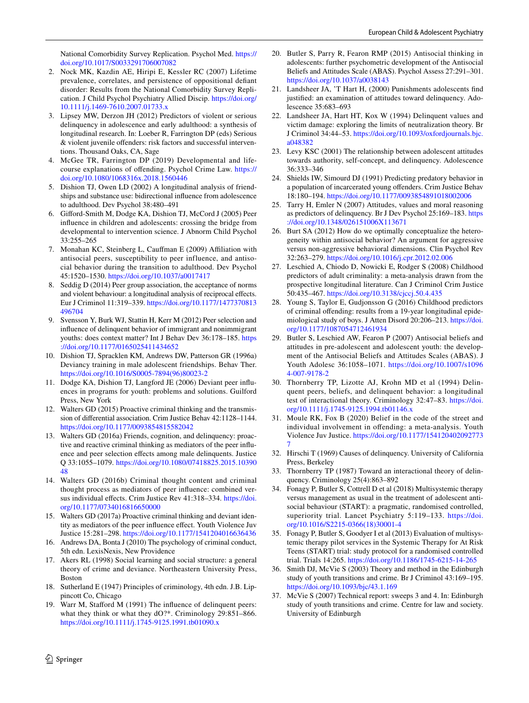National Comorbidity Survey Replication. Psychol Med. [https://](https://doi.org/10.1017/S0033291706007082) [doi.org/10.1017/S0033291706007082](https://doi.org/10.1017/S0033291706007082)

- <span id="page-9-0"></span>2. Nock MK, Kazdin AE, Hiripi E, Kessler RC (2007) Lifetime prevalence, correlates, and persistence of oppositional defant disorder: Results from the National Comorbidity Survey Replication. J Child Psychol Psychiatry Allied Discip. [https://doi.org/](https://doi.org/10.1111/j.1469-7610.2007.01733.x) [10.1111/j.1469-7610.2007.01733.x](https://doi.org/10.1111/j.1469-7610.2007.01733.x)
- <span id="page-9-1"></span>3. Lipsey MW, Derzon JH (2012) Predictors of violent or serious delinquency in adolescence and early adulthood: a synthesis of longitudinal research. In: Loeber R, Farrington DP (eds) Serious & violent juvenile ofenders: risk factors and successful interventions. Thousand Oaks, CA, Sage
- <span id="page-9-2"></span>4. McGee TR, Farrington DP (2019) Developmental and lifecourse explanations of ofending. Psychol Crime Law. [https://](https://doi.org/10.1080/1068316x.2018.1560446) [doi.org/10.1080/1068316x.2018.1560446](https://doi.org/10.1080/1068316x.2018.1560446)
- <span id="page-9-3"></span>5. Dishion TJ, Owen LD (2002) A longitudinal analysis of friendships and substance use: bidirectional infuence from adolescence to adulthood. Dev Psychol 38:480–491
- 6. Giford-Smith M, Dodge KA, Dishion TJ, McCord J (2005) Peer infuence in children and adolescents: crossing the bridge from developmental to intervention science. J Abnorm Child Psychol 33:255–265
- 7. Monahan KC, Steinberg L, Caufman E (2009) Afliation with antisocial peers, susceptibility to peer influence, and antisocial behavior during the transition to adulthood. Dev Psychol 45:1520–1530. <https://doi.org/10.1037/a0017417>
- 8. Seddig D (2014) Peer group association, the acceptance of norms and violent behaviour: a longitudinal analysis of reciprocal efects. Eur J Criminol 11:319–339. [https://doi.org/10.1177/1477370813](https://doi.org/10.1177/1477370813496704) [496704](https://doi.org/10.1177/1477370813496704)
- <span id="page-9-4"></span>9. Svensson Y, Burk WJ, Stattin H, Kerr M (2012) Peer selection and infuence of delinquent behavior of immigrant and nonimmigrant youths: does context matter? Int J Behav Dev 36:178–185. [https](https://doi.org/10.1177/0165025411434652) [://doi.org/10.1177/0165025411434652](https://doi.org/10.1177/0165025411434652)
- <span id="page-9-5"></span>10. Dishion TJ, Spracklen KM, Andrews DW, Patterson GR (1996a) Deviancy training in male adolescent friendships. Behav Ther. [https://doi.org/10.1016/S0005-7894\(96\)80023-2](https://doi.org/10.1016/S0005-7894(96)80023-2)
- <span id="page-9-6"></span>11. Dodge KA, Dishion TJ, Langford JE (2006) Deviant peer infuences in programs for youth: problems and solutions. Guilford Press, New York
- <span id="page-9-7"></span>12. Walters GD (2015) Proactive criminal thinking and the transmission of diferential association. Crim Justice Behav 42:1128–1144. <https://doi.org/10.1177/0093854815582042>
- <span id="page-9-14"></span>13. Walters GD (2016a) Friends, cognition, and delinquency: proactive and reactive criminal thinking as mediators of the peer infuence and peer selection effects among male delinquents. Justice Q 33:1055–1079. [https://doi.org/10.1080/07418825.2015.10390](https://doi.org/10.1080/07418825.2015.1039048) [48](https://doi.org/10.1080/07418825.2015.1039048)
- <span id="page-9-13"></span>14. Walters GD (2016b) Criminal thought content and criminal thought process as mediators of peer infuence: combined versus individual efects. Crim Justice Rev 41:318–334. [https://doi.](https://doi.org/10.1177/0734016816650000) [org/10.1177/0734016816650000](https://doi.org/10.1177/0734016816650000)
- <span id="page-9-8"></span>15. Walters GD (2017a) Proactive criminal thinking and deviant identity as mediators of the peer infuence efect. Youth Violence Juv Justice 15:281–298. <https://doi.org/10.1177/1541204016636436>
- <span id="page-9-9"></span>16. Andrews DA, Bonta J (2010) The psychology of criminal conduct, 5th edn. LexisNexis, New Providence
- <span id="page-9-10"></span>17. Akers RL (1998) Social learning and social structure: a general theory of crime and deviance. Northeastern University Press, Boston
- <span id="page-9-12"></span>18. Sutherland E (1947) Principles of criminology, 4th edn. J.B. Lippincott Co, Chicago
- <span id="page-9-11"></span>19. Warr M, Staford M (1991) The infuence of delinquent peers: what they think or what they dO?\*. Criminology 29:851-866. <https://doi.org/10.1111/j.1745-9125.1991.tb01090.x>
- <span id="page-9-15"></span>20. Butler S, Parry R, Fearon RMP (2015) Antisocial thinking in adolescents: further psychometric development of the Antisocial Beliefs and Attitudes Scale (ABAS). Psychol Assess 27:291–301. <https://doi.org/10.1037/a0038143>
- 21. Landsheer JA, 'T Hart H, (2000) Punishments adolescents fnd justified: an examination of attitudes toward delinquency. Adolescence 35:683–693
- 22. Landsheer JA, Hart HT, Kox W (1994) Delinquent values and victim damage: exploring the limits of neutralization theory. Br J Criminol 34:44–53. [https://doi.org/10.1093/oxfordjournals.bjc.](https://doi.org/10.1093/oxfordjournals.bjc.a048382) [a048382](https://doi.org/10.1093/oxfordjournals.bjc.a048382)
- 23. Levy KSC (2001) The relationship between adolescent attitudes towards authority, self-concept, and delinquency. Adolescence 36:333–346
- 24. Shields IW, Simourd DJ (1991) Predicting predatory behavior in a population of incarcerated young ofenders. Crim Justice Behav 18:180–194.<https://doi.org/10.1177/0093854891018002006>
- <span id="page-9-16"></span>25. Tarry H, Emler N (2007) Attitudes, values and moral reasoning as predictors of delinquency. Br J Dev Psychol 25:169–183. [https](https://doi.org/10.1348/026151006X113671) [://doi.org/10.1348/026151006X113671](https://doi.org/10.1348/026151006X113671)
- <span id="page-9-17"></span>26. Burt SA (2012) How do we optimally conceptualize the heterogeneity within antisocial behavior? An argument for aggressive versus non-aggressive behavioral dimensions. Clin Psychol Rev 32:263–279.<https://doi.org/10.1016/j.cpr.2012.02.006>
- 27. Leschied A, Chiodo D, Nowicki E, Rodger S (2008) Childhood predictors of adult criminality: a meta-analysis drawn from the prospective longitudinal literature. Can J Criminol Crim Justice 50:435–467.<https://doi.org/10.3138/cjccj.50.4.435>
- <span id="page-9-18"></span>28. Young S, Taylor E, Gudjonsson G (2016) Childhood predictors of criminal ofending: results from a 19-year longitudinal epidemiological study of boys. J Atten Disord 20:206–213. [https://doi.](https://doi.org/10.1177/1087054712461934) [org/10.1177/1087054712461934](https://doi.org/10.1177/1087054712461934)
- <span id="page-9-19"></span>29. Butler S, Leschied AW, Fearon P (2007) Antisocial beliefs and attitudes in pre-adolescent and adolescent youth: the development of the Antisocial Beliefs and Attitudes Scales (ABAS). J Youth Adolesc 36:1058–1071. [https://doi.org/10.1007/s1096](https://doi.org/10.1007/s10964-007-9178-2) [4-007-9178-2](https://doi.org/10.1007/s10964-007-9178-2)
- <span id="page-9-20"></span>30. Thornberry TP, Lizotte AJ, Krohn MD et al (1994) Delinquent peers, beliefs, and delinquent behavior: a longitudinal test of interactional theory. Criminology 32:47–83. [https://doi.](https://doi.org/10.1111/j.1745-9125.1994.tb01146.x) [org/10.1111/j.1745-9125.1994.tb01146.x](https://doi.org/10.1111/j.1745-9125.1994.tb01146.x)
- <span id="page-9-21"></span>31. Moule RK, Fox B (2020) Belief in the code of the street and individual involvement in ofending: a meta-analysis. Youth Violence Juv Justice. [https://doi.org/10.1177/154120402092773](https://doi.org/10.1177/1541204020927737) [7](https://doi.org/10.1177/1541204020927737)
- <span id="page-9-22"></span>32. Hirschi T (1969) Causes of delinquency. University of California Press, Berkeley
- <span id="page-9-23"></span>33. Thornberry TP (1987) Toward an interactional theory of delinquency. Criminology 25(4):863–892
- <span id="page-9-24"></span>34. Fonagy P, Butler S, Cottrell D et al (2018) Multisystemic therapy versus management as usual in the treatment of adolescent antisocial behaviour (START): a pragmatic, randomised controlled, superiority trial. Lancet Psychiatry 5:119–133. [https://doi.](https://doi.org/10.1016/S2215-0366(18)30001-4) [org/10.1016/S2215-0366\(18\)30001-4](https://doi.org/10.1016/S2215-0366(18)30001-4)
- <span id="page-9-25"></span>35. Fonagy P, Butler S, Goodyer I et al (2013) Evaluation of multisystemic therapy pilot services in the Systemic Therapy for At Risk Teens (START) trial: study protocol for a randomised controlled trial. Trials 14:265. <https://doi.org/10.1186/1745-6215-14-265>
- <span id="page-9-26"></span>36. Smith DJ, McVie S (2003) Theory and method in the Edinburgh study of youth transitions and crime. Br J Criminol 43:169–195. <https://doi.org/10.1093/bjc/43.1.169>
- <span id="page-9-27"></span>37. McVie S (2007) Technical report: sweeps 3 and 4. In: Edinburgh study of youth transitions and crime. Centre for law and society. University of Edinburgh